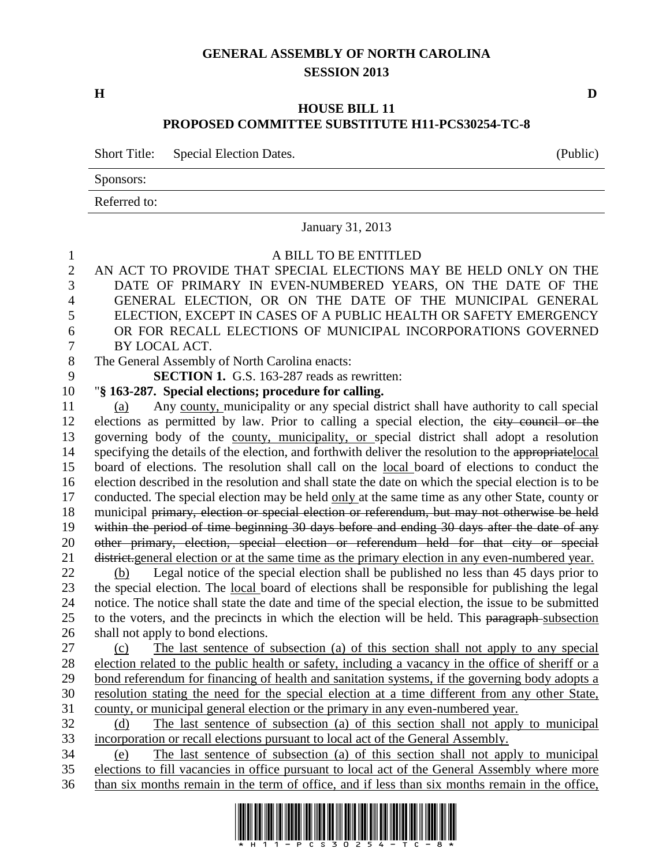# **GENERAL ASSEMBLY OF NORTH CAROLINA SESSION 2013**

# **HOUSE BILL 11 PROPOSED COMMITTEE SUBSTITUTE H11-PCS30254-TC-8**

Short Title: Special Election Dates. (Public)

Sponsors:

Referred to:

|                  | January 31, 2013                                                                                                                                                                                |
|------------------|-------------------------------------------------------------------------------------------------------------------------------------------------------------------------------------------------|
| $\mathbf{1}$     | A BILL TO BE ENTITLED                                                                                                                                                                           |
| $\mathbf{2}$     | AN ACT TO PROVIDE THAT SPECIAL ELECTIONS MAY BE HELD ONLY ON THE                                                                                                                                |
| 3                | DATE OF PRIMARY IN EVEN-NUMBERED YEARS, ON THE DATE OF THE                                                                                                                                      |
| 4                | GENERAL ELECTION, OR ON THE DATE OF THE MUNICIPAL GENERAL                                                                                                                                       |
| 5                | ELECTION, EXCEPT IN CASES OF A PUBLIC HEALTH OR SAFETY EMERGENCY                                                                                                                                |
| 6                | OR FOR RECALL ELECTIONS OF MUNICIPAL INCORPORATIONS GOVERNED                                                                                                                                    |
| $\boldsymbol{7}$ | BY LOCAL ACT.                                                                                                                                                                                   |
| $8\,$            | The General Assembly of North Carolina enacts:                                                                                                                                                  |
| 9                | <b>SECTION 1.</b> G.S. 163-287 reads as rewritten:                                                                                                                                              |
| 10               | "§ 163-287. Special elections; procedure for calling.                                                                                                                                           |
| 11               | Any county, municipality or any special district shall have authority to call special<br>(a)                                                                                                    |
| 12               | elections as permitted by law. Prior to calling a special election, the eity council or the                                                                                                     |
| 13               | governing body of the county, municipality, or special district shall adopt a resolution                                                                                                        |
| 14               | specifying the details of the election, and forthwith deliver the resolution to the appropriatelocal                                                                                            |
| 15               | board of elections. The resolution shall call on the local board of elections to conduct the                                                                                                    |
| 16               | election described in the resolution and shall state the date on which the special election is to be                                                                                            |
| 17               | conducted. The special election may be held only at the same time as any other State, county or                                                                                                 |
| 18               | municipal primary, election or special election or referendum, but may not otherwise be held                                                                                                    |
| 19               | within the period of time beginning 30 days before and ending 30 days after the date of any                                                                                                     |
| 20               | other primary, election, special election or referendum held for that city or special                                                                                                           |
| 21               | district.general election or at the same time as the primary election in any even-numbered year.                                                                                                |
| 22               | Legal notice of the special election shall be published no less than 45 days prior to<br>(b)                                                                                                    |
| 23               | the special election. The local board of elections shall be responsible for publishing the legal                                                                                                |
| 24               | notice. The notice shall state the date and time of the special election, the issue to be submitted                                                                                             |
| 25               | to the voters, and the precincts in which the election will be held. This paragraph-subsection                                                                                                  |
| 26               | shall not apply to bond elections.                                                                                                                                                              |
| 27               | The last sentence of subsection (a) of this section shall not apply to any special<br>(c)<br>election related to the public health or safety, including a vacancy in the office of sheriff or a |
| 28<br>29         | bond referendum for financing of health and sanitation systems, if the governing body adopts a                                                                                                  |
| 30               | resolution stating the need for the special election at a time different from any other State,                                                                                                  |
| 31               | county, or municipal general election or the primary in any even-numbered year.                                                                                                                 |
| 32               | The last sentence of subsection (a) of this section shall not apply to municipal<br>(d)                                                                                                         |
| 33               | incorporation or recall elections pursuant to local act of the General Assembly.                                                                                                                |
| 34               | The last sentence of subsection (a) of this section shall not apply to municipal<br>(e)                                                                                                         |
| 35               | elections to fill vacancies in office pursuant to local act of the General Assembly where more                                                                                                  |
| 36               | than six months remain in the term of office, and if less than six months remain in the office,                                                                                                 |
|                  |                                                                                                                                                                                                 |



**H D**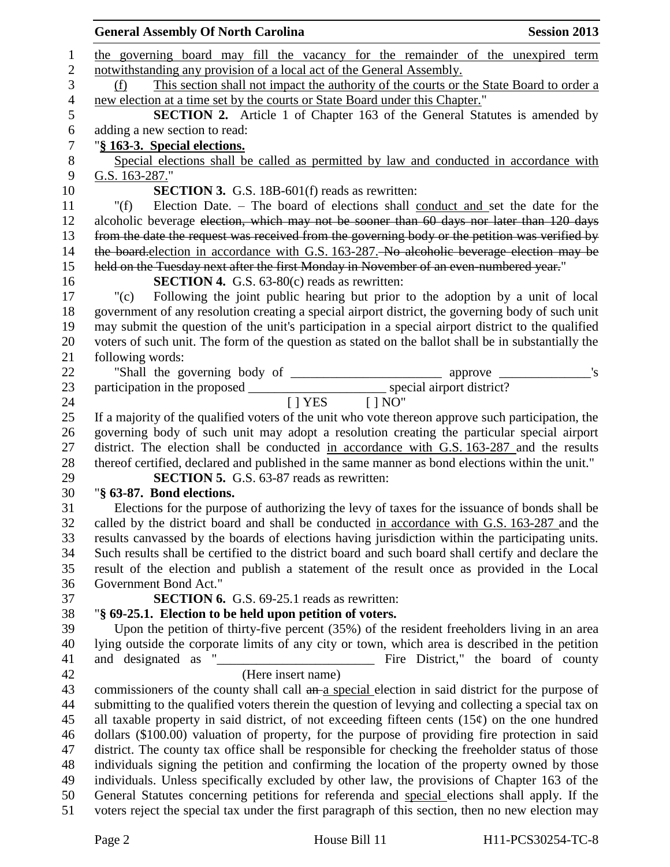|                | <b>General Assembly Of North Carolina</b><br><b>Session 2013</b>                                                                                                                 |
|----------------|----------------------------------------------------------------------------------------------------------------------------------------------------------------------------------|
| $\mathbf{1}$   | the governing board may fill the vacancy for the remainder of the unexpired term                                                                                                 |
| $\mathbf{2}$   | notwithstanding any provision of a local act of the General Assembly.                                                                                                            |
| $\mathfrak{Z}$ | This section shall not impact the authority of the courts or the State Board to order a<br>(f)                                                                                   |
| $\overline{4}$ | new election at a time set by the courts or State Board under this Chapter."                                                                                                     |
| 5              | <b>SECTION 2.</b> Article 1 of Chapter 163 of the General Statutes is amended by                                                                                                 |
| 6              | adding a new section to read:                                                                                                                                                    |
| 7              | "§ 163-3. Special elections.                                                                                                                                                     |
| $8\phantom{1}$ | Special elections shall be called as permitted by law and conducted in accordance with                                                                                           |
| 9              | G.S. 163-287."                                                                                                                                                                   |
| 10             | <b>SECTION 3.</b> G.S. 18B-601(f) reads as rewritten:                                                                                                                            |
| 11             | Election Date. - The board of elections shall conduct and set the date for the<br>" $(f)$                                                                                        |
| 12             | alcoholic beverage election, which may not be sooner than 60 days nor later than 120 days                                                                                        |
| 13             | from the date the request was received from the governing body or the petition was verified by                                                                                   |
| 14             | the board-election in accordance with G.S. 163-287. No alcoholic beverage election may be                                                                                        |
| 15             | held on the Tuesday next after the first Monday in November of an even-numbered year."                                                                                           |
| 16             | <b>SECTION 4.</b> G.S. $63-80(c)$ reads as rewritten:                                                                                                                            |
| 17             | Following the joint public hearing but prior to the adoption by a unit of local<br>"(c)                                                                                          |
| 18             | government of any resolution creating a special airport district, the governing body of such unit                                                                                |
| 19             | may submit the question of the unit's participation in a special airport district to the qualified                                                                               |
| 20             | voters of such unit. The form of the question as stated on the ballot shall be in substantially the                                                                              |
| 21             | following words:                                                                                                                                                                 |
| 22             |                                                                                                                                                                                  |
| 23             |                                                                                                                                                                                  |
| 24             | $[$   YES $[$   NO"                                                                                                                                                              |
| 25             | If a majority of the qualified voters of the unit who vote thereon approve such participation, the                                                                               |
| 26             | governing body of such unit may adopt a resolution creating the particular special airport                                                                                       |
| 27             | district. The election shall be conducted in accordance with G.S. 163-287 and the results                                                                                        |
| 28             | thereof certified, declared and published in the same manner as bond elections within the unit."                                                                                 |
| 29             | <b>SECTION 5.</b> G.S. 63-87 reads as rewritten:                                                                                                                                 |
| 30             | "§ 63-87. Bond elections.                                                                                                                                                        |
| 31             | Elections for the purpose of authorizing the levy of taxes for the issuance of bonds shall be                                                                                    |
| 32             | called by the district board and shall be conducted in accordance with G.S. 163-287 and the                                                                                      |
| 33             | results can vassed by the boards of elections having jurisdiction within the participating units.                                                                                |
| 34             | Such results shall be certified to the district board and such board shall certify and declare the                                                                               |
| 35             | result of the election and publish a statement of the result once as provided in the Local                                                                                       |
| 36             | Government Bond Act."                                                                                                                                                            |
| 37             | <b>SECTION 6.</b> G.S. 69-25.1 reads as rewritten:                                                                                                                               |
| 38             | "§ 69-25.1. Election to be held upon petition of voters.                                                                                                                         |
| 39             | Upon the petition of thirty-five percent (35%) of the resident freeholders living in an area                                                                                     |
| 40             | lying outside the corporate limits of any city or town, which area is described in the petition                                                                                  |
| 41             | and designated as<br>Fire District," the board of county<br><u> 1989 - Johann Barn, mars eta bainar eta bainar eta baina eta baina eta baina eta baina eta baina eta baina e</u> |
| 42             | (Here insert name)                                                                                                                                                               |
| 43             | commissioners of the county shall call an a special election in said district for the purpose of                                                                                 |
| 44             | submitting to the qualified voters therein the question of levying and collecting a special tax on                                                                               |
| 45             | all taxable property in said district, of not exceeding fifteen cents $(15¢)$ on the one hundred                                                                                 |
| 46             | dollars (\$100.00) valuation of property, for the purpose of providing fire protection in said                                                                                   |
| 47             | district. The county tax office shall be responsible for checking the freeholder status of those                                                                                 |
| 48             | individuals signing the petition and confirming the location of the property owned by those                                                                                      |
| 49             | individuals. Unless specifically excluded by other law, the provisions of Chapter 163 of the                                                                                     |
| 50             | General Statutes concerning petitions for referenda and special elections shall apply. If the                                                                                    |
| 51             | voters reject the special tax under the first paragraph of this section, then no new election may                                                                                |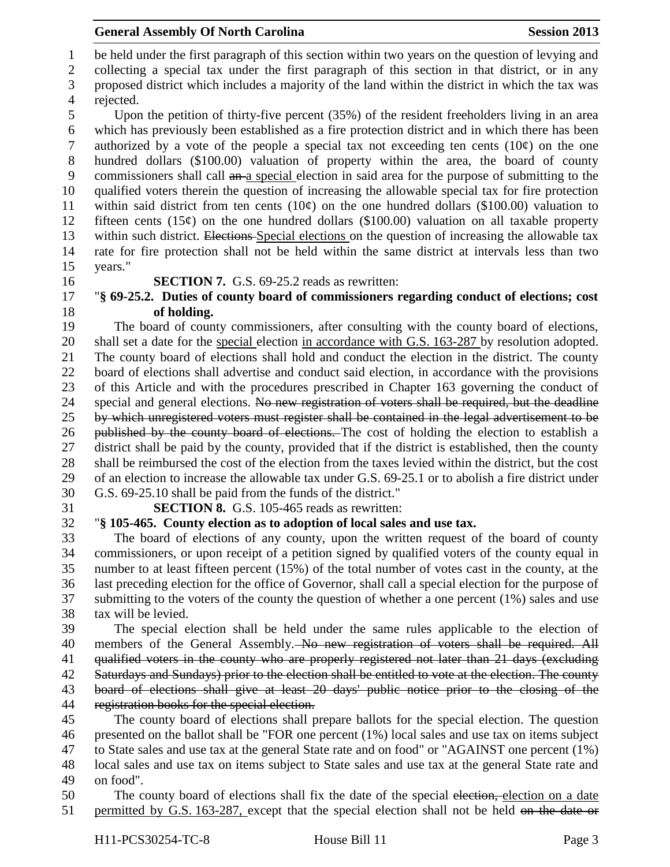be held under the first paragraph of this section within two years on the question of levying and

 collecting a special tax under the first paragraph of this section in that district, or in any proposed district which includes a majority of the land within the district in which the tax was

rejected.

 Upon the petition of thirty-five percent (35%) of the resident freeholders living in an area which has previously been established as a fire protection district and in which there has been 7 authorized by a vote of the people a special tax not exceeding ten cents  $(10¢)$  on the one hundred dollars (\$100.00) valuation of property within the area, the board of county commissioners shall call an a special election in said area for the purpose of submitting to the qualified voters therein the question of increasing the allowable special tax for fire protection 11 within said district from ten cents  $(10¢)$  on the one hundred dollars (\$100.00) valuation to 12 fifteen cents  $(15¢)$  on the one hundred dollars  $(\$100.00)$  valuation on all taxable property 13 within such district. Elections-Special elections on the question of increasing the allowable tax rate for fire protection shall not be held within the same district at intervals less than two years."

## **SECTION 7.** G.S. 69-25.2 reads as rewritten:

# "**§ 69-25.2. Duties of county board of commissioners regarding conduct of elections; cost of holding.**

 The board of county commissioners, after consulting with the county board of elections, 20 shall set a date for the special election in accordance with G.S. 163-287 by resolution adopted. The county board of elections shall hold and conduct the election in the district. The county board of elections shall advertise and conduct said election, in accordance with the provisions of this Article and with the procedures prescribed in Chapter 163 governing the conduct of 24 special and general elections. No new registration of voters shall be required, but the deadline by which unregistered voters must register shall be contained in the legal advertisement to be 26 published by the county board of elections. The cost of holding the election to establish a district shall be paid by the county, provided that if the district is established, then the county shall be reimbursed the cost of the election from the taxes levied within the district, but the cost of an election to increase the allowable tax under G.S. 69-25.1 or to abolish a fire district under G.S. 69-25.10 shall be paid from the funds of the district."

**SECTION 8.** G.S. 105-465 reads as rewritten:

# "**§ 105-465. County election as to adoption of local sales and use tax.**

 The board of elections of any county, upon the written request of the board of county commissioners, or upon receipt of a petition signed by qualified voters of the county equal in number to at least fifteen percent (15%) of the total number of votes cast in the county, at the last preceding election for the office of Governor, shall call a special election for the purpose of submitting to the voters of the county the question of whether a one percent (1%) sales and use tax will be levied.

 The special election shall be held under the same rules applicable to the election of 40 members of the General Assembly. No new registration of voters shall be required. All 41 qualified voters in the county who are properly registered not later than 21 days (excluding 42 Saturdays and Sundays) prior to the election shall be entitled to vote at the election. The county board of elections shall give at least 20 days' public notice prior to the closing of the registration books for the special election.

 The county board of elections shall prepare ballots for the special election. The question presented on the ballot shall be "FOR one percent (1%) local sales and use tax on items subject to State sales and use tax at the general State rate and on food" or "AGAINST one percent (1%) local sales and use tax on items subject to State sales and use tax at the general State rate and on food".

50 The county board of elections shall fix the date of the special election, election on a date 51 permitted by G.S. 163-287, except that the special election shall not be held on the date or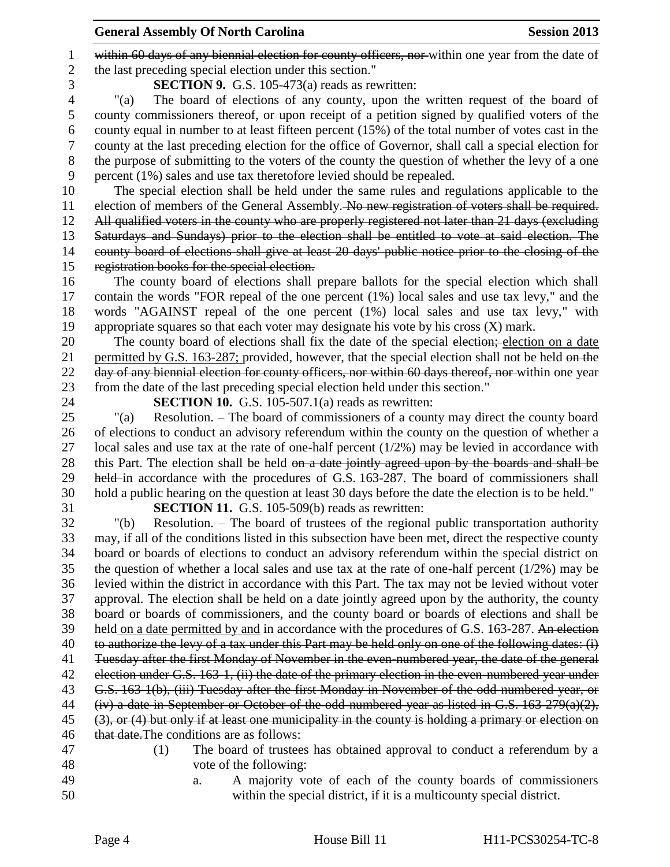1 within 60 days of any biennial election for county officers, nor within one year from the date of the last preceding special election under this section."

**SECTION 9.** G.S. 105-473(a) reads as rewritten:

 "(a) The board of elections of any county, upon the written request of the board of county commissioners thereof, or upon receipt of a petition signed by qualified voters of the county equal in number to at least fifteen percent (15%) of the total number of votes cast in the county at the last preceding election for the office of Governor, shall call a special election for the purpose of submitting to the voters of the county the question of whether the levy of a one percent (1%) sales and use tax theretofore levied should be repealed.

 The special election shall be held under the same rules and regulations applicable to the election of members of the General Assembly. No new registration of voters shall be required. 12 All qualified voters in the county who are properly registered not later than 21 days (excluding Saturdays and Sundays) prior to the election shall be entitled to vote at said election. The county board of elections shall give at least 20 days' public notice prior to the closing of the registration books for the special election.

 The county board of elections shall prepare ballots for the special election which shall contain the words "FOR repeal of the one percent (1%) local sales and use tax levy," and the words "AGAINST repeal of the one percent (1%) local sales and use tax levy," with appropriate squares so that each voter may designate his vote by his cross (X) mark.

20 The county board of elections shall fix the date of the special election; election on a date 21 permitted by G.S. 163-287; provided, however, that the special election shall not be held on the 22 day of any biennial election for county officers, nor within 60 days thereof, nor within one year from the date of the last preceding special election held under this section."

**SECTION 10.** G.S. 105-507.1(a) reads as rewritten:

 "(a) Resolution. – The board of commissioners of a county may direct the county board of elections to conduct an advisory referendum within the county on the question of whether a local sales and use tax at the rate of one-half percent (1/2%) may be levied in accordance with 28 this Part. The election shall be held on a date jointly agreed upon by the boards and shall be 29 held in accordance with the procedures of G.S. 163-287. The board of commissioners shall hold a public hearing on the question at least 30 days before the date the election is to be held."

**SECTION 11.** G.S. 105-509(b) reads as rewritten:

 "(b) Resolution. – The board of trustees of the regional public transportation authority may, if all of the conditions listed in this subsection have been met, direct the respective county board or boards of elections to conduct an advisory referendum within the special district on the question of whether a local sales and use tax at the rate of one-half percent (1/2%) may be levied within the district in accordance with this Part. The tax may not be levied without voter approval. The election shall be held on a date jointly agreed upon by the authority, the county board or boards of commissioners, and the county board or boards of elections and shall be 39 held on a date permitted by and in accordance with the procedures of G.S. 163-287. An election to authorize the levy of a tax under this Part may be held only on one of the following dates: (i) Tuesday after the first Monday of November in the even-numbered year, the date of the general 42 election under G.S. 163-1, (ii) the date of the primary election in the even-numbered year under G.S. 163-1(b), (iii) Tuesday after the first Monday in November of the odd-numbered year, or (iv) a date in September or October of the odd-numbered year as listed in G.S. 163-279(a)(2), (3), or (4) but only if at least one municipality in the county is holding a primary or election on 46 that date. The conditions are as follows:

 (1) The board of trustees has obtained approval to conduct a referendum by a vote of the following: a. A majority vote of each of the county boards of commissioners

within the special district, if it is a multicounty special district.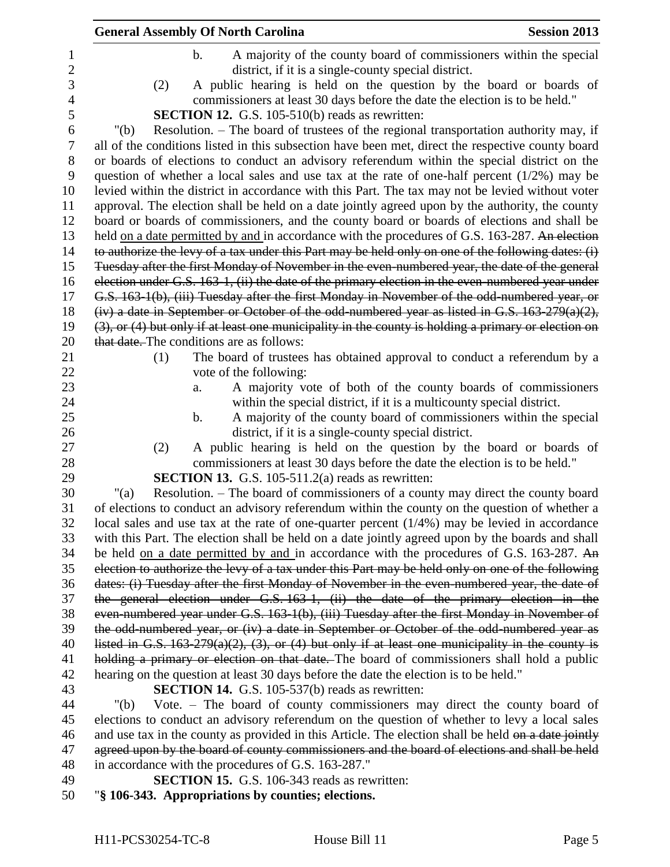|         | <b>General Assembly Of North Carolina</b>                                                                                                                                | <b>Session 2013</b>                                                |
|---------|--------------------------------------------------------------------------------------------------------------------------------------------------------------------------|--------------------------------------------------------------------|
|         | $\mathbf b$ .<br>district, if it is a single-county special district.                                                                                                    | A majority of the county board of commissioners within the special |
| (2)     | A public hearing is held on the question by the board or boards of<br>commissioners at least 30 days before the date the election is to be held."                        |                                                                    |
|         | <b>SECTION 12.</b> G.S. 105-510(b) reads as rewritten:                                                                                                                   |                                                                    |
| " $(b)$ | Resolution. – The board of trustees of the regional transportation authority may, if                                                                                     |                                                                    |
|         | all of the conditions listed in this subsection have been met, direct the respective county board                                                                        |                                                                    |
|         | or boards of elections to conduct an advisory referendum within the special district on the                                                                              |                                                                    |
|         | question of whether a local sales and use tax at the rate of one-half percent $(1/2%)$ may be                                                                            |                                                                    |
|         | levied within the district in accordance with this Part. The tax may not be levied without voter                                                                         |                                                                    |
|         | approval. The election shall be held on a date jointly agreed upon by the authority, the county                                                                          |                                                                    |
|         | board or boards of commissioners, and the county board or boards of elections and shall be                                                                               |                                                                    |
|         | held on a date permitted by and in accordance with the procedures of G.S. 163-287. An election                                                                           |                                                                    |
|         | to authorize the levy of a tax under this Part may be held only on one of the following dates: (i)                                                                       |                                                                    |
|         | Tuesday after the first Monday of November in the even-numbered year, the date of the general                                                                            |                                                                    |
|         | election under G.S. 163-1, (ii) the date of the primary election in the even-numbered year under                                                                         |                                                                    |
|         | G.S. 163-1(b), (iii) Tuesday after the first Monday in November of the odd-numbered year, or                                                                             |                                                                    |
|         | $(iv)$ a date in September or October of the odd-numbered year as listed in G.S. 163-279(a)(2),                                                                          |                                                                    |
|         | $(3)$ , or $(4)$ but only if at least one municipality in the county is holding a primary or election on                                                                 |                                                                    |
|         | that date. The conditions are as follows:                                                                                                                                |                                                                    |
| (1)     | The board of trustees has obtained approval to conduct a referendum by a<br>vote of the following:                                                                       |                                                                    |
|         | A majority vote of both of the county boards of commissioners<br>a.                                                                                                      |                                                                    |
|         | within the special district, if it is a multicounty special district.                                                                                                    |                                                                    |
|         | $\mathbf b$ .                                                                                                                                                            | A majority of the county board of commissioners within the special |
|         | district, if it is a single-county special district.                                                                                                                     |                                                                    |
| (2)     | A public hearing is held on the question by the board or boards of                                                                                                       |                                                                    |
|         | commissioners at least 30 days before the date the election is to be held."                                                                                              |                                                                    |
|         | <b>SECTION 13.</b> G.S. 105-511.2(a) reads as rewritten:                                                                                                                 |                                                                    |
| " $(a)$ | Resolution. – The board of commissioners of a county may direct the county board                                                                                         |                                                                    |
|         | of elections to conduct an advisory referendum within the county on the question of whether a                                                                            |                                                                    |
|         | local sales and use tax at the rate of one-quarter percent $(1/4%)$ may be levied in accordance                                                                          |                                                                    |
|         | with this Part. The election shall be held on a date jointly agreed upon by the boards and shall                                                                         |                                                                    |
|         | be held on a date permitted by and in accordance with the procedures of G.S. 163-287. An                                                                                 |                                                                    |
|         | election to authorize the levy of a tax under this Part may be held only on one of the following                                                                         |                                                                    |
|         | dates: (i) Tuesday after the first Monday of November in the even numbered year, the date of                                                                             |                                                                    |
|         | the general election under G.S. 163-1, (ii) the date of the primary election in the                                                                                      |                                                                    |
|         | even-numbered year under G.S. 163-1(b), (iii) Tuesday after the first Monday in November of                                                                              |                                                                    |
|         | the odd-numbered year, or (iv) a date in September or October of the odd-numbered year as                                                                                |                                                                    |
|         | listed in G.S. $163-279(a)(2)$ , $(3)$ , or $(4)$ but only if at least one municipality in the county is                                                                 |                                                                    |
|         | holding a primary or election on that date. The board of commissioners shall hold a public                                                                               |                                                                    |
|         | hearing on the question at least 30 days before the date the election is to be held."                                                                                    |                                                                    |
|         | <b>SECTION 14.</b> G.S. 105-537(b) reads as rewritten:                                                                                                                   |                                                                    |
| " $(b)$ | Vote. - The board of county commissioners may direct the county board of<br>elections to conduct an advisory referendum on the question of whether to levy a local sales |                                                                    |
|         | and use tax in the county as provided in this Article. The election shall be held on a date jointly                                                                      |                                                                    |
|         | agreed upon by the board of county commissioners and the board of elections and shall be held                                                                            |                                                                    |
|         | in accordance with the procedures of G.S. 163-287."                                                                                                                      |                                                                    |
|         |                                                                                                                                                                          |                                                                    |

- **SECTION 15.** G.S. 106-343 reads as rewritten:
- "**§ 106-343. Appropriations by counties; elections.**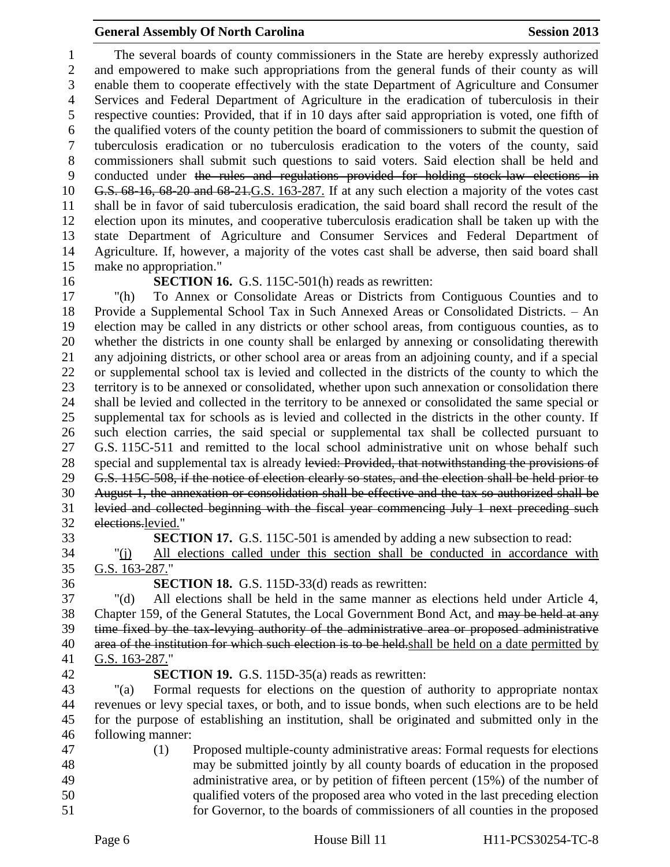The several boards of county commissioners in the State are hereby expressly authorized and empowered to make such appropriations from the general funds of their county as will enable them to cooperate effectively with the state Department of Agriculture and Consumer Services and Federal Department of Agriculture in the eradication of tuberculosis in their respective counties: Provided, that if in 10 days after said appropriation is voted, one fifth of the qualified voters of the county petition the board of commissioners to submit the question of tuberculosis eradication or no tuberculosis eradication to the voters of the county, said commissioners shall submit such questions to said voters. Said election shall be held and conducted under the rules and regulations provided for holding stock-law elections in G.S. 68-16, 68-20 and 68-21.G.S. 163-287. If at any such election a majority of the votes cast shall be in favor of said tuberculosis eradication, the said board shall record the result of the election upon its minutes, and cooperative tuberculosis eradication shall be taken up with the state Department of Agriculture and Consumer Services and Federal Department of Agriculture. If, however, a majority of the votes cast shall be adverse, then said board shall make no appropriation."

### **SECTION 16.** G.S. 115C-501(h) reads as rewritten:

 "(h) To Annex or Consolidate Areas or Districts from Contiguous Counties and to Provide a Supplemental School Tax in Such Annexed Areas or Consolidated Districts. – An election may be called in any districts or other school areas, from contiguous counties, as to whether the districts in one county shall be enlarged by annexing or consolidating therewith any adjoining districts, or other school area or areas from an adjoining county, and if a special or supplemental school tax is levied and collected in the districts of the county to which the territory is to be annexed or consolidated, whether upon such annexation or consolidation there shall be levied and collected in the territory to be annexed or consolidated the same special or supplemental tax for schools as is levied and collected in the districts in the other county. If such election carries, the said special or supplemental tax shall be collected pursuant to G.S. 115C-511 and remitted to the local school administrative unit on whose behalf such 28 special and supplemental tax is already levied: Provided, that notwithstanding the provisions of G.S. 115C-508, if the notice of election clearly so states, and the election shall be held prior to August 1, the annexation or consolidation shall be effective and the tax so authorized shall be levied and collected beginning with the fiscal year commencing July 1 next preceding such elections.levied."

**SECTION 17.** G.S. 115C-501 is amended by adding a new subsection to read:

 "(j) All elections called under this section shall be conducted in accordance with G.S. 163-287."

**SECTION 18.** G.S. 115D-33(d) reads as rewritten:

 "(d) All elections shall be held in the same manner as elections held under Article 4, 38 Chapter 159, of the General Statutes, the Local Government Bond Act, and may be held at any time fixed by the tax-levying authority of the administrative area or proposed administrative 40 area of the institution for which such election is to be held. shall be held on a date permitted by G.S. 163-287."

### **SECTION 19.** G.S. 115D-35(a) reads as rewritten:

 "(a) Formal requests for elections on the question of authority to appropriate nontax revenues or levy special taxes, or both, and to issue bonds, when such elections are to be held for the purpose of establishing an institution, shall be originated and submitted only in the following manner:

- (1) Proposed multiple-county administrative areas: Formal requests for elections may be submitted jointly by all county boards of education in the proposed
- administrative area, or by petition of fifteen percent (15%) of the number of qualified voters of the proposed area who voted in the last preceding election for Governor, to the boards of commissioners of all counties in the proposed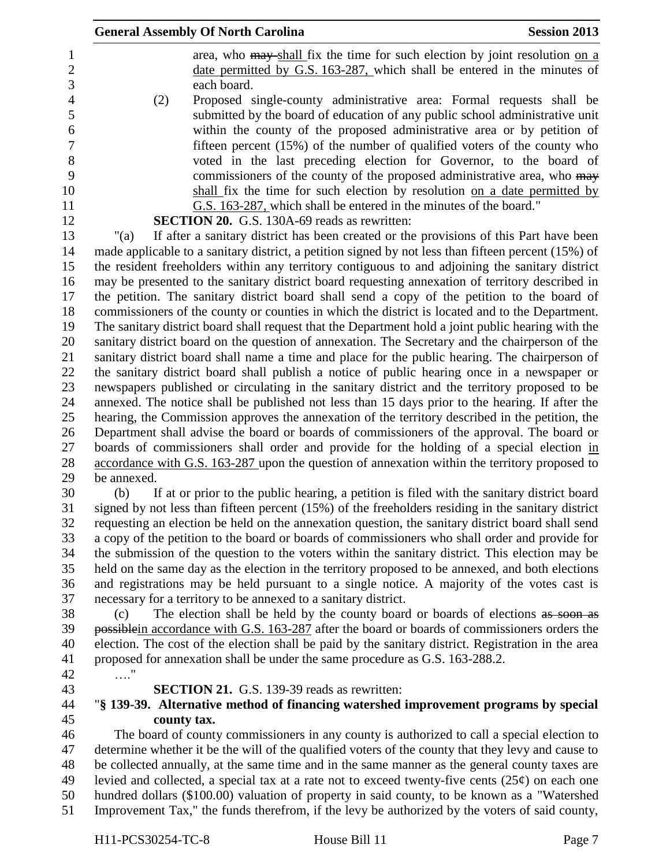|             | <b>General Assembly Of North Carolina</b>                                                           | <b>Session 2013</b> |
|-------------|-----------------------------------------------------------------------------------------------------|---------------------|
|             | area, who may shall fix the time for such election by joint resolution on a                         |                     |
|             | date permitted by G.S. 163-287, which shall be entered in the minutes of                            |                     |
|             | each board.                                                                                         |                     |
| (2)         | Proposed single-county administrative area: Formal requests shall be                                |                     |
|             | submitted by the board of education of any public school administrative unit                        |                     |
|             | within the county of the proposed administrative area or by petition of                             |                     |
|             | fifteen percent $(15\%)$ of the number of qualified voters of the county who                        |                     |
|             | voted in the last preceding election for Governor, to the board of                                  |                     |
|             | commissioners of the county of the proposed administrative area, who may                            |                     |
|             | shall fix the time for such election by resolution on a date permitted by                           |                     |
|             | G.S. 163-287, which shall be entered in the minutes of the board."                                  |                     |
|             | <b>SECTION 20.</b> G.S. 130A-69 reads as rewritten:                                                 |                     |
| " $(a)$     | If after a sanitary district has been created or the provisions of this Part have been              |                     |
|             | made applicable to a sanitary district, a petition signed by not less than fifteen percent (15%) of |                     |
|             | the resident freeholders within any territory contiguous to and adjoining the sanitary district     |                     |
|             | may be presented to the sanitary district board requesting annexation of territory described in     |                     |
|             | the petition. The sanitary district board shall send a copy of the petition to the board of         |                     |
|             | commissioners of the county or counties in which the district is located and to the Department.     |                     |
|             | The sanitary district board shall request that the Department hold a joint public hearing with the  |                     |
|             | sanitary district board on the question of annexation. The Secretary and the chairperson of the     |                     |
|             | sanitary district board shall name a time and place for the public hearing. The chairperson of      |                     |
|             | the sanitary district board shall publish a notice of public hearing once in a newspaper or         |                     |
|             | newspapers published or circulating in the sanitary district and the territory proposed to be       |                     |
|             | annexed. The notice shall be published not less than 15 days prior to the hearing. If after the     |                     |
|             | hearing, the Commission approves the annexation of the territory described in the petition, the     |                     |
|             | Department shall advise the board or boards of commissioners of the approval. The board or          |                     |
|             | boards of commissioners shall order and provide for the holding of a special election in            |                     |
|             | accordance with G.S. 163-287 upon the question of annexation within the territory proposed to       |                     |
| be annexed. |                                                                                                     |                     |
| (b)         | If at or prior to the public hearing, a petition is filed with the sanitary district board          |                     |
|             | signed by not less than fifteen percent (15%) of the freeholders residing in the sanitary district  |                     |
|             | requesting an election be held on the annexation question, the sanitary district board shall send   |                     |
|             | a copy of the petition to the board or boards of commissioners who shall order and provide for      |                     |
|             | the submission of the question to the voters within the sanitary district. This election may be     |                     |
|             | held on the same day as the election in the territory proposed to be annexed, and both elections    |                     |
|             | and registrations may be held pursuant to a single notice. A majority of the votes cast is          |                     |
|             | necessary for a territory to be annexed to a sanitary district.                                     |                     |
| (c)         | The election shall be held by the county board or boards of elections as soon as                    |                     |
|             | possible in accordance with G.S. 163-287 after the board or boards of commissioners orders the      |                     |
|             | election. The cost of the election shall be paid by the sanitary district. Registration in the area |                     |
|             | proposed for annexation shall be under the same procedure as G.S. 163-288.2.                        |                     |
| $\ldots$ "  |                                                                                                     |                     |
|             | <b>SECTION 21.</b> G.S. 139-39 reads as rewritten:                                                  |                     |
|             | "§ 139-39. Alternative method of financing watershed improvement programs by special                |                     |
| county tax. |                                                                                                     |                     |
|             | The board of county commissioners in any county is authorized to call a special election to         |                     |
|             | determine whether it be the will of the qualified voters of the county that they levy and cause to  |                     |
|             | be collected annually, at the same time and in the same manner as the general county taxes are      |                     |
|             | levied and collected, a special tax at a rate not to exceed twenty-five cents $(25¢)$ on each one   |                     |
|             | hundred dollars (\$100.00) valuation of property in said county, to be known as a "Watershed        |                     |
|             | Improvement Tax," the funds therefrom, if the levy be authorized by the voters of said county,      |                     |
|             |                                                                                                     |                     |

H11-PCS30254-TC-8 House Bill 11 Page 7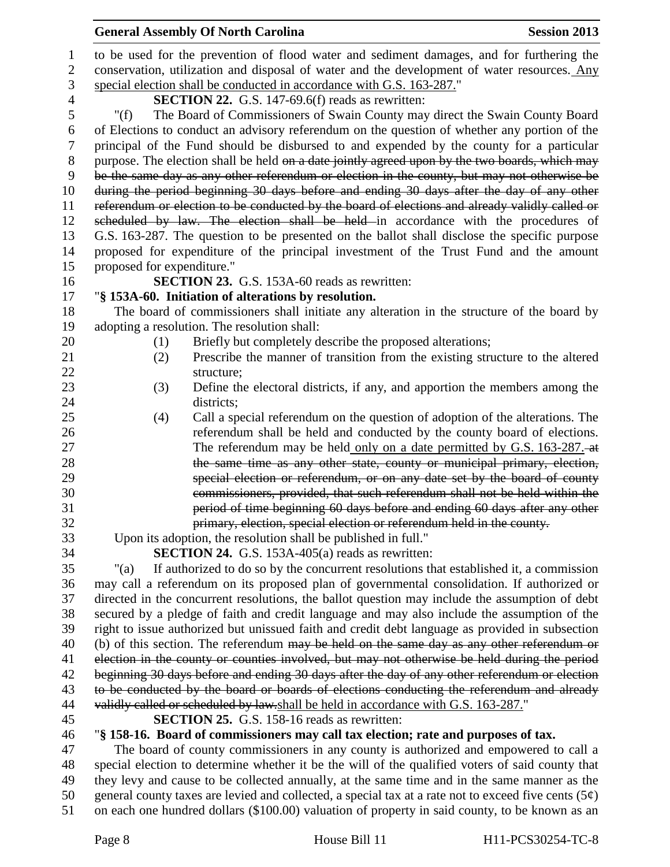|                | <b>General Assembly Of North Carolina</b><br><b>Session 2013</b>                                                                                                                                       |
|----------------|--------------------------------------------------------------------------------------------------------------------------------------------------------------------------------------------------------|
| $\mathbf{1}$   | to be used for the prevention of flood water and sediment damages, and for furthering the                                                                                                              |
| $\overline{2}$ | conservation, utilization and disposal of water and the development of water resources. Any                                                                                                            |
| 3              | special election shall be conducted in accordance with G.S. 163-287."                                                                                                                                  |
| $\overline{4}$ | <b>SECTION 22.</b> G.S. 147-69.6(f) reads as rewritten:                                                                                                                                                |
| 5              | The Board of Commissioners of Swain County may direct the Swain County Board<br>" $(f)$                                                                                                                |
| 6              | of Elections to conduct an advisory referendum on the question of whether any portion of the                                                                                                           |
| 7              | principal of the Fund should be disbursed to and expended by the county for a particular                                                                                                               |
| $8\phantom{1}$ | purpose. The election shall be held on a date jointly agreed upon by the two boards, which may                                                                                                         |
| 9              | be the same day as any other referendum or election in the county, but may not otherwise be                                                                                                            |
| 10             | during the period beginning 30 days before and ending 30 days after the day of any other                                                                                                               |
| 11             | referendum or election to be conducted by the board of elections and already validly called or                                                                                                         |
| 12             | scheduled by law. The election shall be held in accordance with the procedures of                                                                                                                      |
| 13             | G.S. 163-287. The question to be presented on the ballot shall disclose the specific purpose                                                                                                           |
| 14             | proposed for expenditure of the principal investment of the Trust Fund and the amount                                                                                                                  |
| 15             | proposed for expenditure."                                                                                                                                                                             |
| 16             | SECTION 23. G.S. 153A-60 reads as rewritten:                                                                                                                                                           |
| 17             | "§ 153A-60. Initiation of alterations by resolution.                                                                                                                                                   |
| 18             | The board of commissioners shall initiate any alteration in the structure of the board by                                                                                                              |
| 19             | adopting a resolution. The resolution shall:                                                                                                                                                           |
| 20             | Briefly but completely describe the proposed alterations;<br>(1)                                                                                                                                       |
| 21             | Prescribe the manner of transition from the existing structure to the altered<br>(2)                                                                                                                   |
| 22             | structure;                                                                                                                                                                                             |
| 23             | Define the electoral districts, if any, and apportion the members among the<br>(3)                                                                                                                     |
| 24             | districts;                                                                                                                                                                                             |
| 25             | Call a special referendum on the question of adoption of the alterations. The<br>(4)                                                                                                                   |
| 26             | referendum shall be held and conducted by the county board of elections.                                                                                                                               |
| 27             | The referendum may be held only on a date permitted by G.S. 163-287. at                                                                                                                                |
| 28             | the same time as any other state, county or municipal primary, election,                                                                                                                               |
| 29             | special election or referendum, or on any date set by the board of county                                                                                                                              |
| 30             | commissioners, provided, that such referendum shall not be held within the                                                                                                                             |
| 31             | period of time beginning 60 days before and ending 60 days after any other                                                                                                                             |
| 32             | primary, election, special election or referendum held in the county.                                                                                                                                  |
| 33             | Upon its adoption, the resolution shall be published in full."                                                                                                                                         |
| 34             | SECTION 24. G.S. 153A-405(a) reads as rewritten:                                                                                                                                                       |
| 35             | If authorized to do so by the concurrent resolutions that established it, a commission<br>" $(a)$                                                                                                      |
| 36             | may call a referendum on its proposed plan of governmental consolidation. If authorized or                                                                                                             |
| 37             | directed in the concurrent resolutions, the ballot question may include the assumption of debt                                                                                                         |
| 38             | secured by a pledge of faith and credit language and may also include the assumption of the                                                                                                            |
| 39             | right to issue authorized but unissued faith and credit debt language as provided in subsection                                                                                                        |
| 40             | (b) of this section. The referendum may be held on the same day as any other referendum or                                                                                                             |
| 41             | election in the county or counties involved, but may not otherwise be held during the period                                                                                                           |
| 42             | beginning 30 days before and ending 30 days after the day of any other referendum or election                                                                                                          |
| 43             | to be conducted by the board or boards of elections conducting the referendum and already                                                                                                              |
| 44             | validly called or scheduled by law.shall be held in accordance with G.S. 163-287."                                                                                                                     |
| 45             | <b>SECTION 25.</b> G.S. 158-16 reads as rewritten:                                                                                                                                                     |
| 46             | "§ 158-16. Board of commissioners may call tax election; rate and purposes of tax.                                                                                                                     |
| 47             | The board of county commissioners in any county is authorized and empowered to call a                                                                                                                  |
| 48             | special election to determine whether it be the will of the qualified voters of said county that                                                                                                       |
| 49<br>50       | they levy and cause to be collected annually, at the same time and in the same manner as the<br>general county taxes are levied and collected, a special tax at a rate not to exceed five cents $(5¢)$ |
|                |                                                                                                                                                                                                        |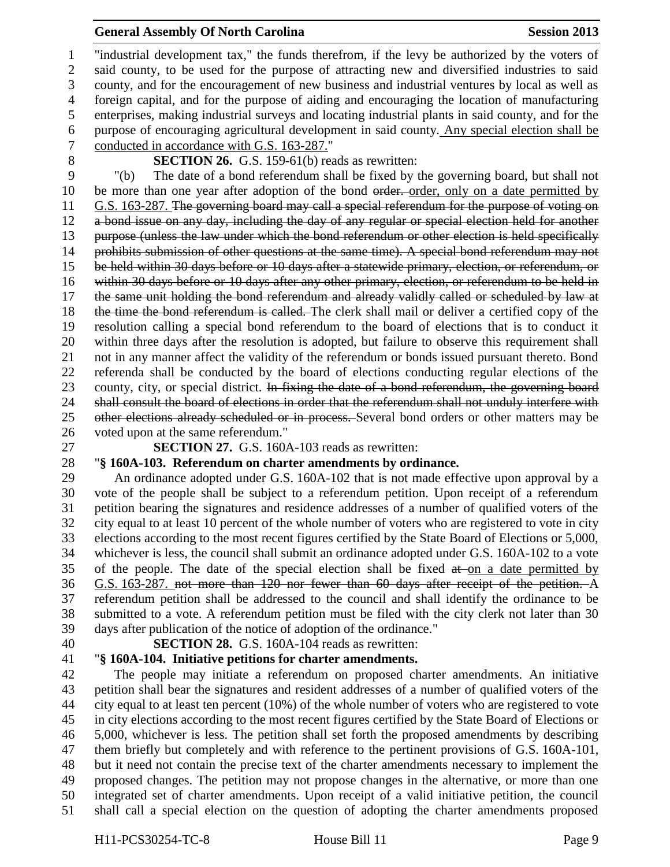"industrial development tax," the funds therefrom, if the levy be authorized by the voters of said county, to be used for the purpose of attracting new and diversified industries to said county, and for the encouragement of new business and industrial ventures by local as well as foreign capital, and for the purpose of aiding and encouraging the location of manufacturing enterprises, making industrial surveys and locating industrial plants in said county, and for the purpose of encouraging agricultural development in said county. Any special election shall be conducted in accordance with G.S. 163-287."

**SECTION 26.** G.S. 159-61(b) reads as rewritten:

 "(b) The date of a bond referendum shall be fixed by the governing board, but shall not 10 be more than one year after adoption of the bond order. order, only on a date permitted by G.S. 163-287. The governing board may call a special referendum for the purpose of voting on a bond issue on any day, including the day of any regular or special election held for another purpose (unless the law under which the bond referendum or other election is held specifically 14 prohibits submission of other questions at the same time). A special bond referendum may not be held within 30 days before or 10 days after a statewide primary, election, or referendum, or within 30 days before or 10 days after any other primary, election, or referendum to be held in the same unit holding the bond referendum and already validly called or scheduled by law at 18 the time the bond referendum is called. The clerk shall mail or deliver a certified copy of the resolution calling a special bond referendum to the board of elections that is to conduct it within three days after the resolution is adopted, but failure to observe this requirement shall not in any manner affect the validity of the referendum or bonds issued pursuant thereto. Bond referenda shall be conducted by the board of elections conducting regular elections of the 23 county, city, or special district. In fixing the date of a bond referendum, the governing board 24 shall consult the board of elections in order that the referendum shall not unduly interfere with 25 other elections already scheduled or in process. Several bond orders or other matters may be voted upon at the same referendum."

**SECTION 27.** G.S. 160A-103 reads as rewritten:

# "**§ 160A-103. Referendum on charter amendments by ordinance.**

 An ordinance adopted under G.S. 160A-102 that is not made effective upon approval by a vote of the people shall be subject to a referendum petition. Upon receipt of a referendum petition bearing the signatures and residence addresses of a number of qualified voters of the city equal to at least 10 percent of the whole number of voters who are registered to vote in city elections according to the most recent figures certified by the State Board of Elections or 5,000, whichever is less, the council shall submit an ordinance adopted under G.S. 160A-102 to a vote 35 of the people. The date of the special election shall be fixed  $a\ddot{t}$  on a date permitted by G.S. 163-287. not more than 120 nor fewer than 60 days after receipt of the petition. A referendum petition shall be addressed to the council and shall identify the ordinance to be submitted to a vote. A referendum petition must be filed with the city clerk not later than 30 days after publication of the notice of adoption of the ordinance."

**SECTION 28.** G.S. 160A-104 reads as rewritten:

# "**§ 160A-104. Initiative petitions for charter amendments.**

 The people may initiate a referendum on proposed charter amendments. An initiative petition shall bear the signatures and resident addresses of a number of qualified voters of the city equal to at least ten percent (10%) of the whole number of voters who are registered to vote in city elections according to the most recent figures certified by the State Board of Elections or 5,000, whichever is less. The petition shall set forth the proposed amendments by describing them briefly but completely and with reference to the pertinent provisions of G.S. 160A-101, but it need not contain the precise text of the charter amendments necessary to implement the proposed changes. The petition may not propose changes in the alternative, or more than one integrated set of charter amendments. Upon receipt of a valid initiative petition, the council shall call a special election on the question of adopting the charter amendments proposed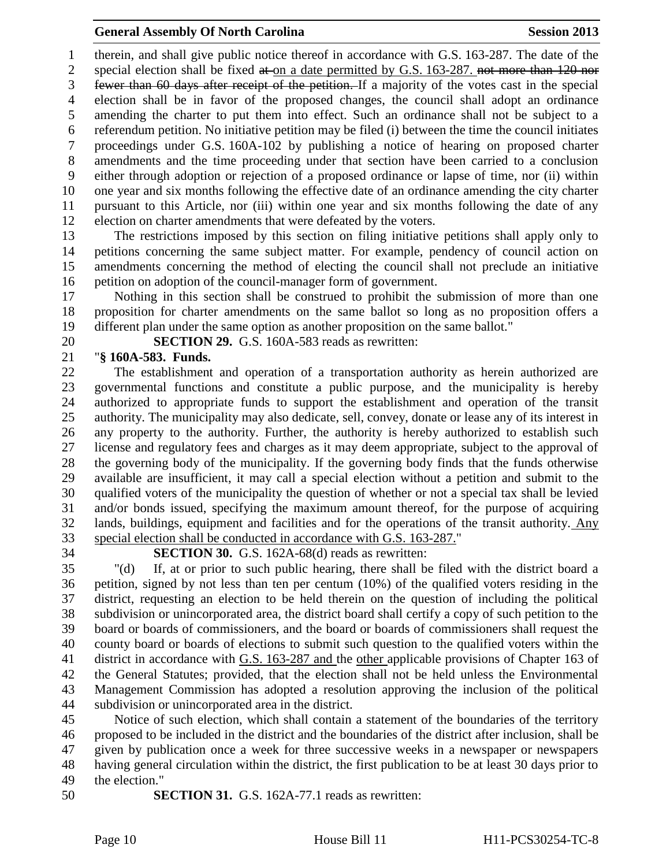therein, and shall give public notice thereof in accordance with G.S. 163-287. The date of the 2 special election shall be fixed at on a date permitted by G.S. 163-287. not more than 120 nor fewer than 60 days after receipt of the petition. If a majority of the votes cast in the special election shall be in favor of the proposed changes, the council shall adopt an ordinance amending the charter to put them into effect. Such an ordinance shall not be subject to a referendum petition. No initiative petition may be filed (i) between the time the council initiates proceedings under G.S. 160A-102 by publishing a notice of hearing on proposed charter amendments and the time proceeding under that section have been carried to a conclusion either through adoption or rejection of a proposed ordinance or lapse of time, nor (ii) within one year and six months following the effective date of an ordinance amending the city charter pursuant to this Article, nor (iii) within one year and six months following the date of any election on charter amendments that were defeated by the voters.

 The restrictions imposed by this section on filing initiative petitions shall apply only to petitions concerning the same subject matter. For example, pendency of council action on amendments concerning the method of electing the council shall not preclude an initiative petition on adoption of the council-manager form of government.

 Nothing in this section shall be construed to prohibit the submission of more than one proposition for charter amendments on the same ballot so long as no proposition offers a different plan under the same option as another proposition on the same ballot."

**SECTION 29.** G.S. 160A-583 reads as rewritten:

## "**§ 160A-583. Funds.**

 The establishment and operation of a transportation authority as herein authorized are governmental functions and constitute a public purpose, and the municipality is hereby authorized to appropriate funds to support the establishment and operation of the transit authority. The municipality may also dedicate, sell, convey, donate or lease any of its interest in any property to the authority. Further, the authority is hereby authorized to establish such license and regulatory fees and charges as it may deem appropriate, subject to the approval of the governing body of the municipality. If the governing body finds that the funds otherwise available are insufficient, it may call a special election without a petition and submit to the qualified voters of the municipality the question of whether or not a special tax shall be levied and/or bonds issued, specifying the maximum amount thereof, for the purpose of acquiring lands, buildings, equipment and facilities and for the operations of the transit authority. Any special election shall be conducted in accordance with G.S. 163-287."

# **SECTION 30.** G.S. 162A-68(d) reads as rewritten:

 "(d) If, at or prior to such public hearing, there shall be filed with the district board a petition, signed by not less than ten per centum (10%) of the qualified voters residing in the district, requesting an election to be held therein on the question of including the political subdivision or unincorporated area, the district board shall certify a copy of such petition to the board or boards of commissioners, and the board or boards of commissioners shall request the county board or boards of elections to submit such question to the qualified voters within the district in accordance with G.S. 163-287 and the other applicable provisions of Chapter 163 of the General Statutes; provided, that the election shall not be held unless the Environmental Management Commission has adopted a resolution approving the inclusion of the political subdivision or unincorporated area in the district.

 Notice of such election, which shall contain a statement of the boundaries of the territory proposed to be included in the district and the boundaries of the district after inclusion, shall be given by publication once a week for three successive weeks in a newspaper or newspapers having general circulation within the district, the first publication to be at least 30 days prior to the election."

**SECTION 31.** G.S. 162A-77.1 reads as rewritten: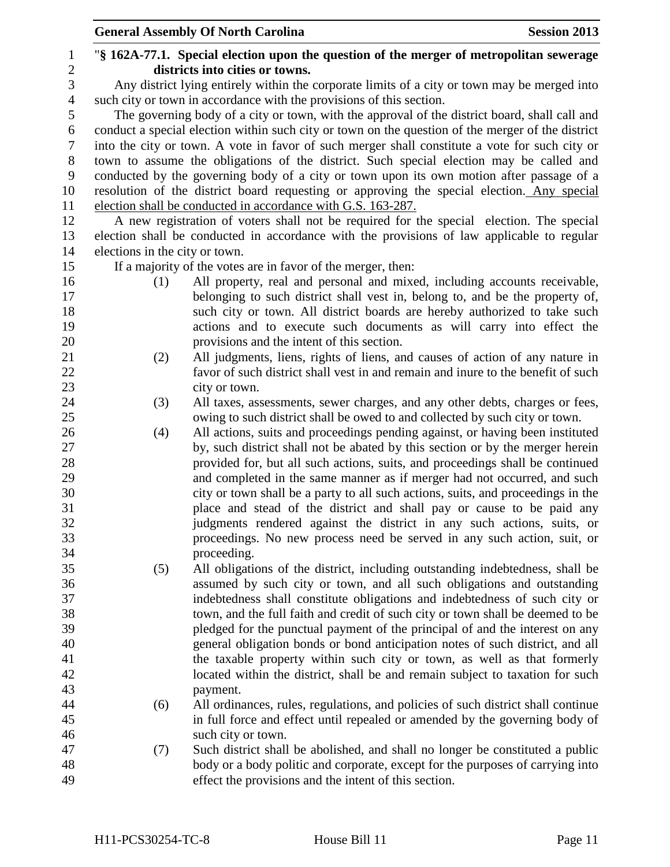|                  |                                | <b>General Assembly Of North Carolina</b><br><b>Session 2013</b>                                  |  |
|------------------|--------------------------------|---------------------------------------------------------------------------------------------------|--|
| $\mathbf{1}$     |                                | "\\$ 162A-77.1. Special election upon the question of the merger of metropolitan sewerage         |  |
| $\overline{c}$   |                                | districts into cities or towns.                                                                   |  |
| 3                |                                | Any district lying entirely within the corporate limits of a city or town may be merged into      |  |
| $\overline{4}$   |                                | such city or town in accordance with the provisions of this section.                              |  |
| 5                |                                | The governing body of a city or town, with the approval of the district board, shall call and     |  |
| 6                |                                | conduct a special election within such city or town on the question of the merger of the district |  |
| $\tau$           |                                | into the city or town. A vote in favor of such merger shall constitute a vote for such city or    |  |
| $8\,$            |                                | town to assume the obligations of the district. Such special election may be called and           |  |
| $\boldsymbol{9}$ |                                | conducted by the governing body of a city or town upon its own motion after passage of a          |  |
| 10               |                                | resolution of the district board requesting or approving the special election. Any special        |  |
| 11               |                                | election shall be conducted in accordance with G.S. 163-287.                                      |  |
| 12               |                                | A new registration of voters shall not be required for the special election. The special          |  |
| 13               |                                | election shall be conducted in accordance with the provisions of law applicable to regular        |  |
| 14               | elections in the city or town. |                                                                                                   |  |
| 15               |                                | If a majority of the votes are in favor of the merger, then:                                      |  |
| 16               | (1)                            | All property, real and personal and mixed, including accounts receivable,                         |  |
| 17               |                                | belonging to such district shall vest in, belong to, and be the property of,                      |  |
| 18               |                                | such city or town. All district boards are hereby authorized to take such                         |  |
| 19               |                                | actions and to execute such documents as will carry into effect the                               |  |
| 20               |                                | provisions and the intent of this section.                                                        |  |
| 21               | (2)                            | All judgments, liens, rights of liens, and causes of action of any nature in                      |  |
| 22               |                                | favor of such district shall vest in and remain and inure to the benefit of such                  |  |
| 23               |                                | city or town.                                                                                     |  |
| 24               | (3)                            | All taxes, assessments, sewer charges, and any other debts, charges or fees,                      |  |
| 25               |                                | owing to such district shall be owed to and collected by such city or town.                       |  |
| 26               | (4)                            | All actions, suits and proceedings pending against, or having been instituted                     |  |
| 27               |                                | by, such district shall not be abated by this section or by the merger herein                     |  |
| 28               |                                | provided for, but all such actions, suits, and proceedings shall be continued                     |  |
| 29               |                                | and completed in the same manner as if merger had not occurred, and such                          |  |
| 30               |                                | city or town shall be a party to all such actions, suits, and proceedings in the                  |  |
| 31               |                                | place and stead of the district and shall pay or cause to be paid any                             |  |
| 32               |                                | judgments rendered against the district in any such actions, suits, or                            |  |
| 33               |                                | proceedings. No new process need be served in any such action, suit, or                           |  |
| 34               |                                | proceeding.                                                                                       |  |
| 35               | (5)                            | All obligations of the district, including outstanding indebtedness, shall be                     |  |
| 36               |                                | assumed by such city or town, and all such obligations and outstanding                            |  |
| 37               |                                | indebtedness shall constitute obligations and indebtedness of such city or                        |  |
| 38               |                                | town, and the full faith and credit of such city or town shall be deemed to be                    |  |
| 39               |                                | pledged for the punctual payment of the principal of and the interest on any                      |  |
| 40               |                                | general obligation bonds or bond anticipation notes of such district, and all                     |  |
| 41               |                                | the taxable property within such city or town, as well as that formerly                           |  |
| 42               |                                | located within the district, shall be and remain subject to taxation for such                     |  |
| 43               |                                | payment.                                                                                          |  |
| 44               | (6)                            | All ordinances, rules, regulations, and policies of such district shall continue                  |  |
| 45               |                                | in full force and effect until repealed or amended by the governing body of                       |  |
| 46               |                                | such city or town.                                                                                |  |
| 47               | (7)                            | Such district shall be abolished, and shall no longer be constituted a public                     |  |
| 48               |                                | body or a body politic and corporate, except for the purposes of carrying into                    |  |
| 49               |                                | effect the provisions and the intent of this section.                                             |  |